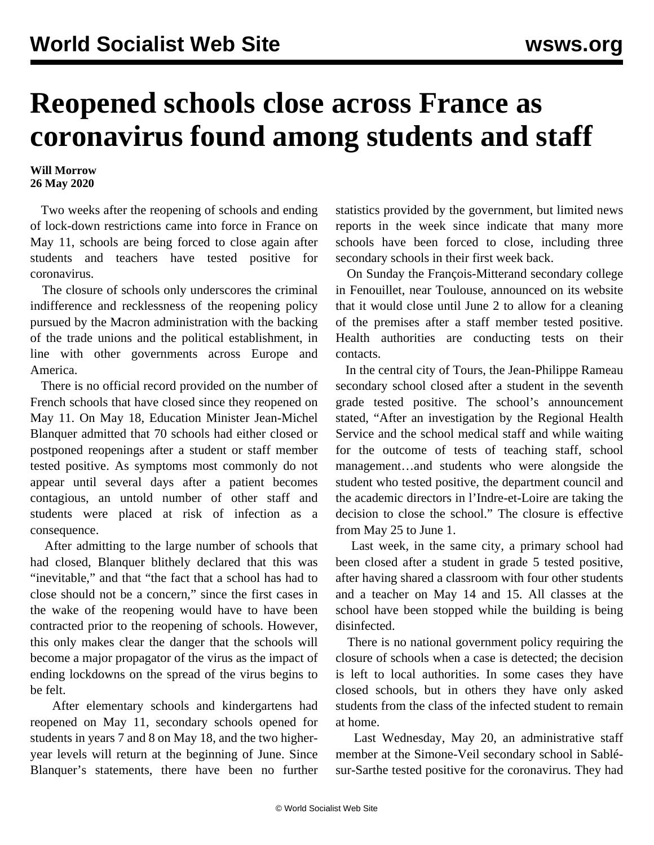## **Reopened schools close across France as coronavirus found among students and staff**

## **Will Morrow 26 May 2020**

 Two weeks after the reopening of schools and ending of lock-down restrictions came into force in France on May 11, schools are being forced to close again after students and teachers have tested positive for coronavirus.

 The closure of schools only underscores the criminal indifference and recklessness of the reopening policy pursued by the Macron administration with the backing of the trade unions and the political establishment, in line with other governments across Europe and America.

 There is no official record provided on the number of French schools that have closed since they reopened on May 11. On May 18, Education Minister Jean-Michel Blanquer admitted that 70 schools had either closed or postponed reopenings after a student or staff member tested positive. As symptoms most commonly do not appear until several days after a patient becomes contagious, an untold number of other staff and students were placed at risk of infection as a consequence.

 After admitting to the large number of schools that had closed, Blanquer blithely declared that this was "inevitable," and that "the fact that a school has had to close should not be a concern," since the first cases in the wake of the reopening would have to have been contracted prior to the reopening of schools. However, this only makes clear the danger that the schools will become a major propagator of the virus as the impact of ending lockdowns on the spread of the virus begins to be felt.

 After elementary schools and kindergartens had reopened on May 11, secondary schools opened for students in years 7 and 8 on May 18, and the two higheryear levels will return at the beginning of June. Since Blanquer's statements, there have been no further statistics provided by the government, but limited news reports in the week since indicate that many more schools have been forced to close, including three secondary schools in their first week back.

 On Sunday the François-Mitterand secondary college in Fenouillet, near Toulouse, announced on its website that it would close until June 2 to allow for a cleaning of the premises after a staff member tested positive. Health authorities are conducting tests on their contacts.

 In the central city of Tours, the Jean-Philippe Rameau secondary school closed after a student in the seventh grade tested positive. The school's announcement stated, "After an investigation by the Regional Health Service and the school medical staff and while waiting for the outcome of tests of teaching staff, school management…and students who were alongside the student who tested positive, the department council and the academic directors in l'Indre-et-Loire are taking the decision to close the school." The closure is effective from May 25 to June 1.

 Last week, in the same city, a primary school had been closed after a student in grade 5 tested positive, after having shared a classroom with four other students and a teacher on May 14 and 15. All classes at the school have been stopped while the building is being disinfected.

 There is no national government policy requiring the closure of schools when a case is detected; the decision is left to local authorities. In some cases they have closed schools, but in others they have only asked students from the class of the infected student to remain at home.

 Last Wednesday, May 20, an administrative staff member at the Simone-Veil secondary school in Sablésur-Sarthe tested positive for the coronavirus. They had